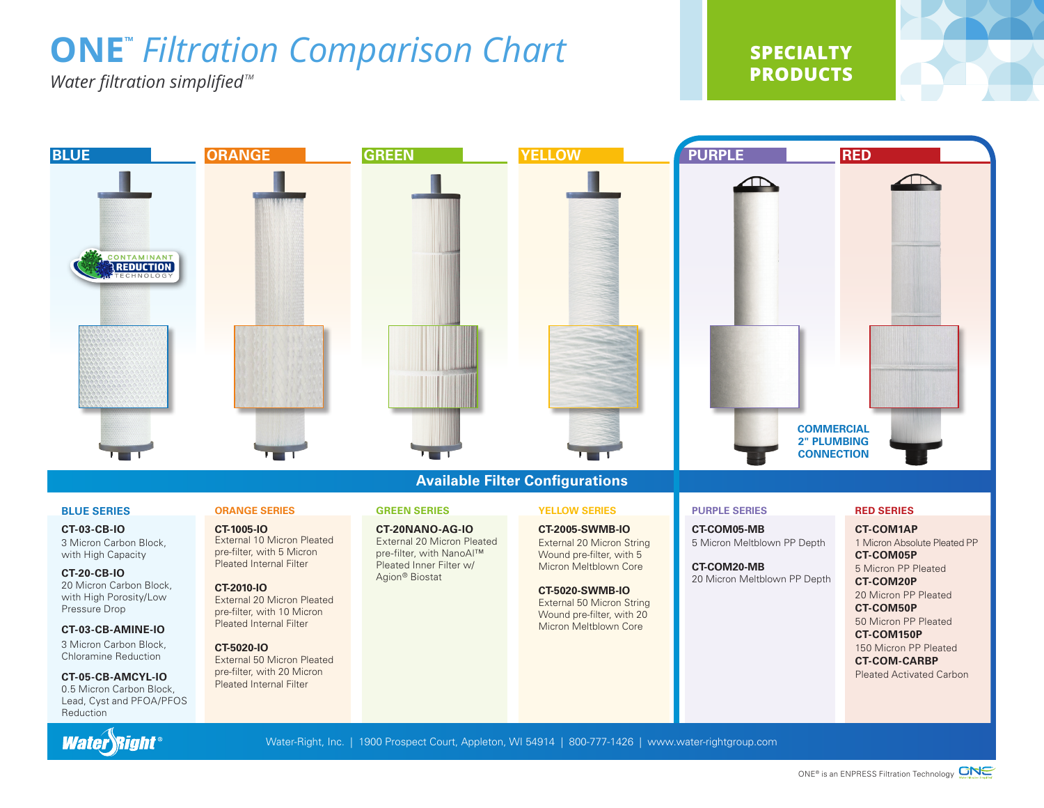# **ONE™** *Filtration Comparison Chart*

*Water filtration simplified*<sup>™</sup>

**SPECIALTY PRODUCTS**





3 Micron Carbon Block, with High Capacity

**CT-20-CB-IO** 20 Micron Carbon Block, with High Porosity/Low Pressure Drop

#### **CT-03-CB-AMINE-IO**

3 Micron Carbon Block, Chloramine Reduction

**CT-05-CB-AMCYL-IO** 0.5 Micron Carbon Block,

External 10 Micron Pleated pre-filter, with 5 Micron Pleated Internal Filter

**CT-2010-IO** External 20 Micron Pleated pre-filter, with 10 Micron Pleated Internal Filter

### **CT-5020-IO**

External 50 Micron Pleated pre-filter, with 20 Micron Pleated Internal Filter

**CT-20NANO-AG-IO** External 20 Micron Pleated pre-filter, with NanoAl™ Pleated Inner Filter w/ Agion® Biostat

**CT-2005-SWMB-IO** External 20 Micron String Wound pre-filter, with 5 Micron Meltblown Core

**CT-5020-SWMB-IO** External 50 Micron String Wound pre-filter, with 20 Micron Meltblown Core

**CT-COM05-MB** 5 Micron Meltblown PP Depth

**CT-COM20-MB** 20 Micron Meltblown PP Depth

1 Micron Absolute Pleated PP **CT-COM05P**

5 Micron PP Pleated **CT-COM20P**

20 Micron PP Pleated

**CT-COM50P** 50 Micron PP Pleated

**CT-COM150P**

150 Micron PP Pleated **CT-COM-CARBP** Pleated Activated Carbon

Lead, Cyst and PFOA/PFOS Reduction Water Right®

Water-Right, Inc. | 1900 Prospect Court, Appleton, WI 54914 | 800-777-1426 | www.water-rightgroup.com

ONE® is an ENPRESS Filtration Technology CNE